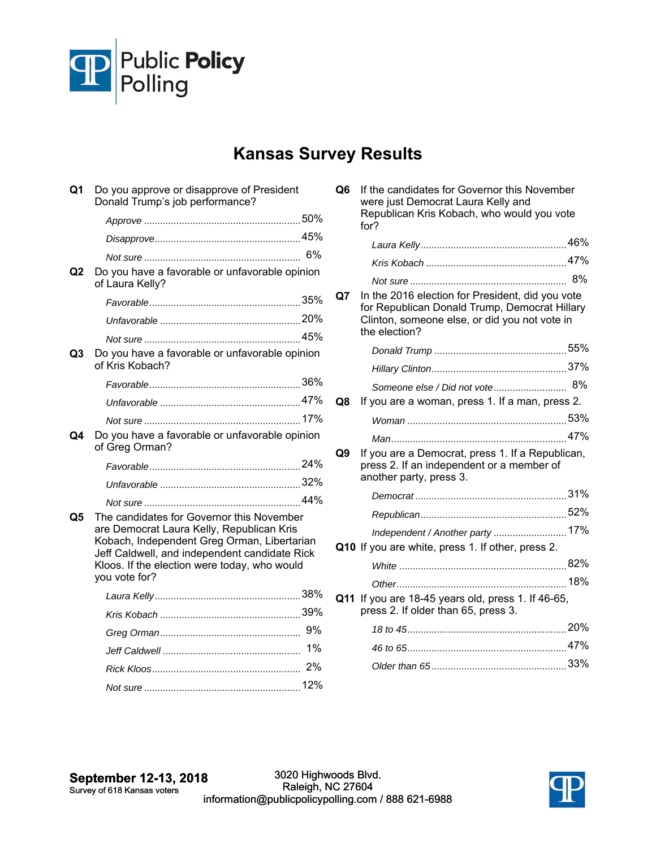

## **Kansas Survey Results**

| Q <sub>1</sub> | Do you approve or disapprove of President<br>Donald Trump's job performance?                                                                                                                                                                            |    |
|----------------|---------------------------------------------------------------------------------------------------------------------------------------------------------------------------------------------------------------------------------------------------------|----|
|                |                                                                                                                                                                                                                                                         |    |
|                |                                                                                                                                                                                                                                                         |    |
|                |                                                                                                                                                                                                                                                         | 6% |
| Q2             | Do you have a favorable or unfavorable opinion<br>of Laura Kelly?                                                                                                                                                                                       |    |
|                |                                                                                                                                                                                                                                                         |    |
|                |                                                                                                                                                                                                                                                         |    |
|                |                                                                                                                                                                                                                                                         |    |
| Q3             | Do you have a favorable or unfavorable opinion<br>of Kris Kobach?                                                                                                                                                                                       |    |
|                |                                                                                                                                                                                                                                                         |    |
|                |                                                                                                                                                                                                                                                         |    |
|                |                                                                                                                                                                                                                                                         |    |
| Q4             | Do you have a favorable or unfavorable opinion<br>of Greg Orman?                                                                                                                                                                                        |    |
|                |                                                                                                                                                                                                                                                         |    |
|                |                                                                                                                                                                                                                                                         |    |
|                |                                                                                                                                                                                                                                                         |    |
| Q5             | The candidates for Governor this November<br>are Democrat Laura Kelly, Republican Kris<br>Kobach, Independent Greg Orman, Libertarian<br>Jeff Caldwell, and independent candidate Rick<br>Kloos. If the election were today, who would<br>you vote for? |    |
|                |                                                                                                                                                                                                                                                         |    |
|                |                                                                                                                                                                                                                                                         |    |
|                |                                                                                                                                                                                                                                                         |    |
|                |                                                                                                                                                                                                                                                         | 1% |
|                |                                                                                                                                                                                                                                                         |    |
|                |                                                                                                                                                                                                                                                         |    |

| Q <sub>6</sub> | If the candidates for Governor this November<br>were just Democrat Laura Kelly and<br>Republican Kris Kobach, who would you vote<br>for?                            |    |
|----------------|---------------------------------------------------------------------------------------------------------------------------------------------------------------------|----|
|                |                                                                                                                                                                     |    |
|                |                                                                                                                                                                     |    |
|                |                                                                                                                                                                     | 8% |
| Q7             | In the 2016 election for President, did you vote<br>for Republican Donald Trump, Democrat Hillary<br>Clinton, someone else, or did you not vote in<br>the election? |    |
|                |                                                                                                                                                                     |    |
|                |                                                                                                                                                                     |    |
|                |                                                                                                                                                                     | 8% |
| Q8             | If you are a woman, press 1. If a man, press 2.                                                                                                                     |    |
|                |                                                                                                                                                                     |    |
|                |                                                                                                                                                                     |    |
| Q9             | If you are a Democrat, press 1. If a Republican,<br>press 2. If an independent or a member of<br>another party, press 3.                                            |    |
|                |                                                                                                                                                                     |    |
|                |                                                                                                                                                                     |    |
|                | Independent / Another party 17%                                                                                                                                     |    |
|                | Q10 If you are white, press 1. If other, press 2.                                                                                                                   |    |
|                |                                                                                                                                                                     |    |
|                |                                                                                                                                                                     |    |
| Q11            | If you are 18-45 years old, press 1. If 46-65,<br>press 2. If older than 65, press 3.                                                                               |    |
|                |                                                                                                                                                                     |    |
|                |                                                                                                                                                                     |    |
|                |                                                                                                                                                                     |    |

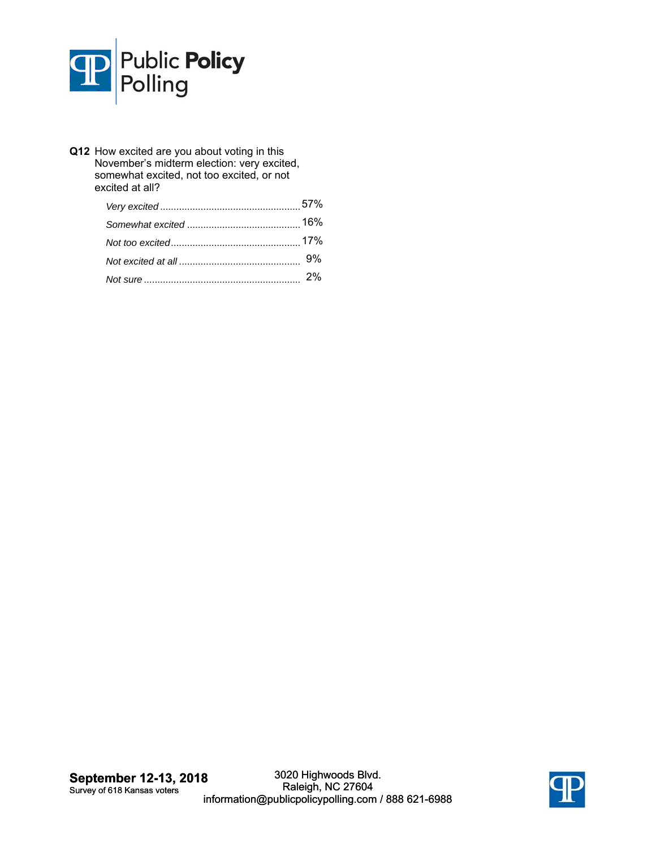

**Q12** How excited are you about voting in this November's midterm election: very excited, somewhat excited, not too excited, or not excited at all?

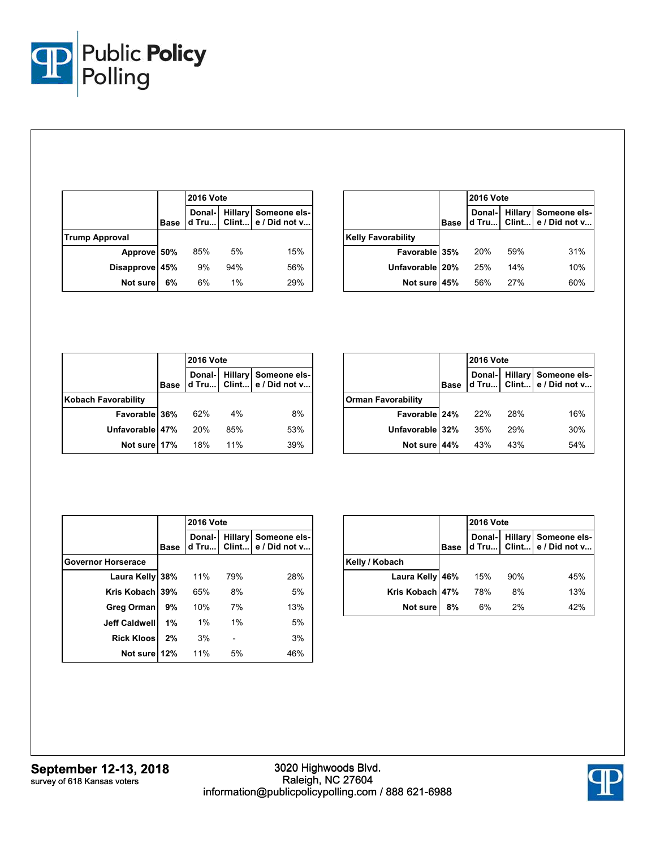

|                       |             | <b>2016 Vote</b> |       |                                                          |
|-----------------------|-------------|------------------|-------|----------------------------------------------------------|
|                       | <b>Base</b> |                  |       | Donal- Hillary Someone els-<br>d Tru Clint e / Did not v |
| <b>Trump Approval</b> |             |                  |       |                                                          |
| Approve 50%           |             | 85%              | 5%    | 15%                                                      |
| Disapprove 45%        |             | 9%               | 94%   | 56%                                                      |
| Not sure              | 6%          | 6%               | $1\%$ | 29%                                                      |

|                           | <b>2016 Vote</b> |                                                          |     |     |
|---------------------------|------------------|----------------------------------------------------------|-----|-----|
|                           | <b>Base</b>      | Donal- Hillary Someone els-<br>d Tru Clint e / Did not v |     |     |
| <b>Kelly Favorability</b> |                  |                                                          |     |     |
| Favorable 35%             |                  | 20%                                                      | 59% | 31% |
| Unfavorable 20%           |                  | 25%                                                      | 14% | 10% |
| Not sure 45%              |                  | 56%                                                      | 27% | 60% |

|                            |             | <b>2016 Vote</b> |     |                                                         |
|----------------------------|-------------|------------------|-----|---------------------------------------------------------|
|                            | <b>Base</b> |                  |     | Donal-Hillary Someone els-<br>d Tru Clint e / Did not v |
| <b>Kobach Favorability</b> |             |                  |     |                                                         |
| Favorable 36%              |             | 62%              | 4%  | 8%                                                      |
| Unfavorable 47%            |             | 20%              | 85% | 53%                                                     |
| Not sure 17%               |             | 18%              | 11% | 39%                                                     |

|                           |             | <b>2016 Vote</b>                                         |     |     |  |
|---------------------------|-------------|----------------------------------------------------------|-----|-----|--|
|                           | <b>Base</b> | Donal- Hillary Someone els-<br>d Tru Clint e / Did not v |     |     |  |
| <b>Orman Favorability</b> |             |                                                          |     |     |  |
| Favorable 24%             |             | 22%                                                      | 28% | 16% |  |
| Unfavorable 32%           |             | 35%                                                      | 29% | 30% |  |
| Not sure 44%              |             | 43%                                                      | 43% | 54% |  |

|                           |             | <b>2016 Vote</b> |       |                                       |  |
|---------------------------|-------------|------------------|-------|---------------------------------------|--|
|                           | <b>Base</b> | Donal-I<br>d Tru | Clint | Hillary Someone els-<br>e / Did not v |  |
| <b>Governor Horserace</b> |             |                  |       |                                       |  |
| Laura Kelly 38%           |             | 11%              | 79%   | 28%                                   |  |
| Kris Kobach               | 39%         | 65%              | 8%    | 5%                                    |  |
| Greg Orman                | 9%          | 10%              | 7%    | 13%                                   |  |
| <b>Jeff Caldwell</b>      | 1%          | $1\%$            | 1%    | 5%                                    |  |
| <b>Rick Kloos</b>         | 2%          | 3%               |       | 3%                                    |  |
| Not sure                  | 12%         | 11%              | 5%    | 46%                                   |  |

|                 |             | <b>2016 Vote</b> |     |                                                          |  |
|-----------------|-------------|------------------|-----|----------------------------------------------------------|--|
|                 | <b>Base</b> |                  |     | Donal- Hillary Someone els-<br>d Tru Clint e / Did not v |  |
| Kelly / Kobach  |             |                  |     |                                                          |  |
| Laura Kelly 46% |             | 15%              | 90% | 45%                                                      |  |
| Kris Kobach 47% |             | 78%              | 8%  | 13%                                                      |  |
| Not sure        | 8%          | 6%               | 2%  | 42%                                                      |  |

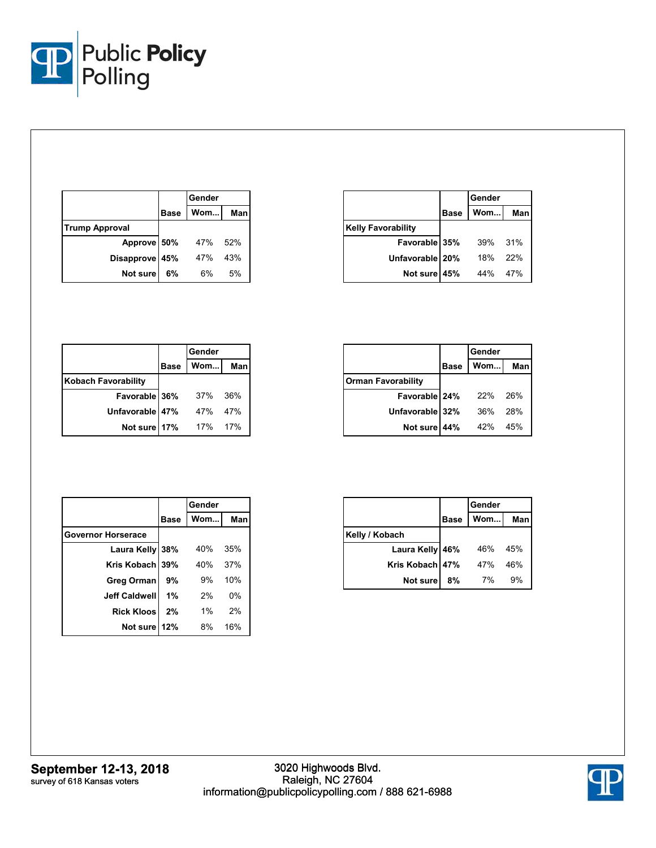

|                       |             | Gender |         |
|-----------------------|-------------|--------|---------|
|                       | <b>Base</b> | Wom    | Man     |
| <b>Trump Approval</b> |             |        |         |
| Approve 50%           |             | 47%    | $.52\%$ |
| Disapprove 45%        |             | 47%    | 43%     |
| Not sure              | 6%          | 6%     | 5%      |

|                           |             | Gender |     |  |
|---------------------------|-------------|--------|-----|--|
|                           | <b>Base</b> | Wom    | Man |  |
| <b>Kelly Favorability</b> |             |        |     |  |
| Favorable 35%             |             | 39%    | 31% |  |
| Unfavorable 20%           |             | 18%    | 22% |  |
| Not sure 45%              |             | 44%    | 47% |  |

|                            |             | Gender |            |
|----------------------------|-------------|--------|------------|
|                            | <b>Base</b> | Wom    | <b>Man</b> |
| <b>Kobach Favorability</b> |             |        |            |
| Favorable 36%              |             | 37%    | 36%        |
| Unfavorable 47%            |             | 47%    | 47%        |
| Not sure                   | 17%         | 17%    | 17%        |

|                           |             | Gender |     |  |
|---------------------------|-------------|--------|-----|--|
|                           | <b>Base</b> | Wom    | Man |  |
| <b>Orman Favorability</b> |             |        |     |  |
| Favorable 24%             |             | 22%    | 26% |  |
| Unfavorable 32%           |             | 36%    | 28% |  |
| Not sure 44%              |             | 42%    | 45% |  |

|                           | Gender      |       |     |
|---------------------------|-------------|-------|-----|
|                           | <b>Base</b> | Wom   | Man |
| <b>Governor Horserace</b> |             |       |     |
| Laura Kelly 38%           |             | 40%   | 35% |
| Kris Kobach 39%           |             | 40%   | 37% |
| <b>Greg Orman</b>         | 9%          | 9%    | 10% |
| <b>Jeff Caldwell</b>      | 1%          | 2%    | 0%  |
| <b>Rick Kloos</b>         | 2%          | $1\%$ | 2%  |
| Not sure 12%              |             | 8%    | 16% |

|                 |             | Gender |     |
|-----------------|-------------|--------|-----|
|                 | <b>Base</b> | Wom    | Man |
| Kelly / Kobach  |             |        |     |
| Laura Kelly 46% |             | 46%    | 45% |
| Kris Kobach 47% |             | 47%    | 46% |
| Not sure        | 8%          | 7%     | 9%  |

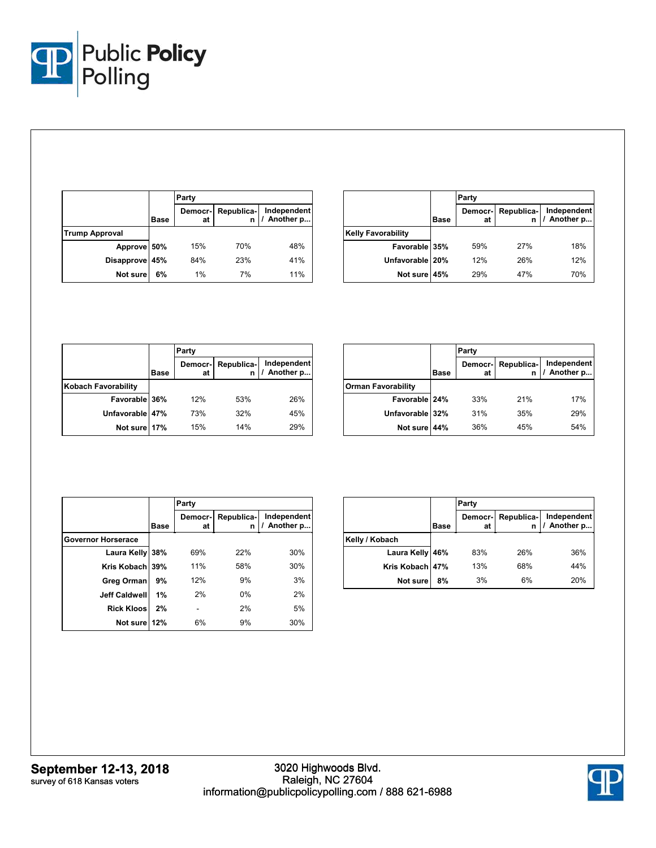

|                       |             | Party         |            |                            |
|-----------------------|-------------|---------------|------------|----------------------------|
|                       | <b>Base</b> | Democr-<br>at | Republica- | Independent<br>/ Another p |
| <b>Trump Approval</b> |             |               |            |                            |
| Approve 50%           |             | 15%           | 70%        | 48%                        |
| Disapprove 45%        |             | 84%           | 23%        | 41%                        |
| Not sure              | 6%          | 1%            | 7%         | 11%                        |

|                           |             | Party         |                 |                            |
|---------------------------|-------------|---------------|-----------------|----------------------------|
|                           | <b>Base</b> | Democr-<br>at | Republica-<br>n | Independent<br>/ Another p |
| <b>Kelly Favorability</b> |             |               |                 |                            |
| Favorable 35%             |             | 59%           | 27%             | 18%                        |
| Unfavorable 20%           |             | 12%           | 26%             | 12%                        |
| Not sure 45%              |             | 29%           | 47%             | 70%                        |

|                            |             | Party         |            |                            |
|----------------------------|-------------|---------------|------------|----------------------------|
|                            | <b>Base</b> | Democr-<br>at | Republica- | Independent<br>/ Another p |
| <b>Kobach Favorability</b> |             |               |            |                            |
| Favorable 36%              |             | 12%           | 53%        | 26%                        |
| Unfavorable 47%            |             | 73%           | 32%        | 45%                        |
| Not sure 17%               |             | 15%           | 14%        | 29%                        |

|                           |             | Party         |                 |                            |
|---------------------------|-------------|---------------|-----------------|----------------------------|
|                           | <b>Base</b> | Democr-<br>at | Republica-<br>n | Independent<br>/ Another p |
| <b>Orman Favorability</b> |             |               |                 |                            |
| Favorable 24%             |             | 33%           | 21%             | 17%                        |
| Unfavorable 32%           |             | 31%           | 35%             | 29%                        |
| Not sure                  | 44%         | 36%           | 45%             | 54%                        |

|                           |             | Party         |                 |                          |
|---------------------------|-------------|---------------|-----------------|--------------------------|
|                           | <b>Base</b> | Democr-<br>at | Republica-<br>n | Independent<br>Another p |
| <b>Governor Horserace</b> |             |               |                 |                          |
| Laura Kelly 38%           |             | 69%           | 22%             | 30%                      |
| Kris Kobach 39%           |             | 11%           | 58%             | 30%                      |
| Greg Orman                | 9%          | 12%           | 9%              | 3%                       |
| <b>Jeff Caldwell</b>      | 1%          | 2%            | $0\%$           | 2%                       |
| <b>Rick Kloos</b>         | 2%          |               | 2%              | 5%                       |
| Not sure 12%              |             | 6%            | 9%              | 30%                      |

|                 |             | Party         |                 |                            |  |
|-----------------|-------------|---------------|-----------------|----------------------------|--|
|                 | <b>Base</b> | Democr-<br>at | Republica-<br>n | Independent<br>/ Another p |  |
| Kelly / Kobach  |             |               |                 |                            |  |
| Laura Kelly 46% |             | 83%           | 26%             | 36%                        |  |
| Kris Kobach 47% |             | 13%           | 68%             | 44%                        |  |
| Not sure        | 8%          | 3%            | 6%              | 20%                        |  |

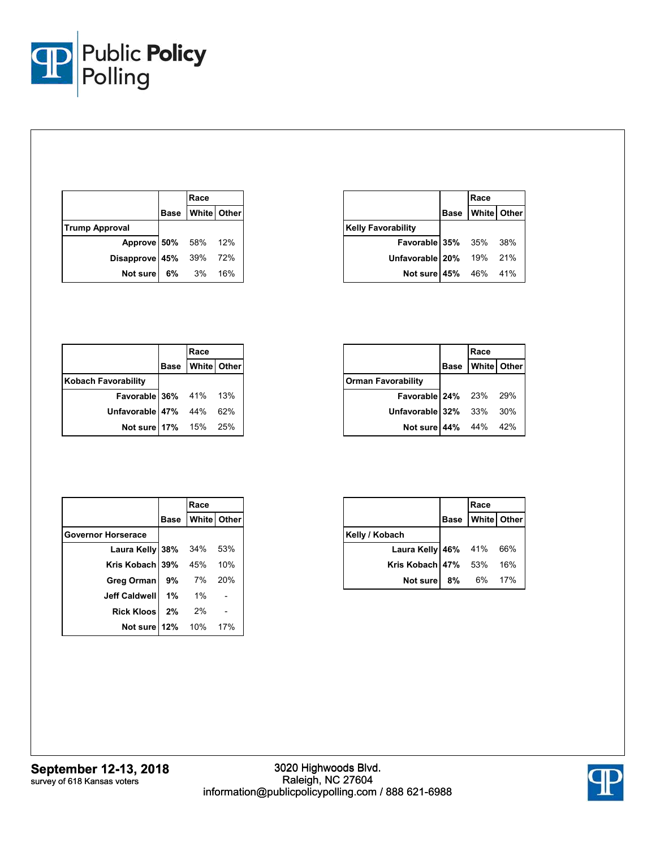

|                        | Race             |  |
|------------------------|------------------|--|
|                        | Base White Other |  |
| <b>Trump Approval</b>  |                  |  |
| Approve 50% 58% 12%    |                  |  |
| Disapprove 45% 39% 72% |                  |  |
| Not sure 6% 3% 16%     |                  |  |

|                           | Race                 |  |  |
|---------------------------|----------------------|--|--|
|                           | Base   White   Other |  |  |
| <b>Kelly Favorability</b> |                      |  |  |
| Favorable 35% 35% 38%     |                      |  |  |
| Unfavorable 20% 19% 21%   |                      |  |  |
| Not sure 45% 46% 41%      |                      |  |  |

|                            | Race                 |     |
|----------------------------|----------------------|-----|
|                            | Base   White   Other |     |
| <b>Kobach Favorability</b> |                      |     |
| Favorable 36% 41% 13%      |                      |     |
| Unfavorable 47% 44%        |                      | 62% |
| Not sure   17% 15% 25%     |                      |     |

|                           | Race                 |     |
|---------------------------|----------------------|-----|
|                           | Base   White   Other |     |
| <b>Orman Favorability</b> |                      |     |
| Favorable 24% 23% 29%     |                      |     |
| Unfavorable 32% 33%       |                      | 30% |
| Not sure 44% 44%          |                      | 42% |

|                           |       | Race               |     |
|---------------------------|-------|--------------------|-----|
|                           | Base  | <b>White</b> Other |     |
| <b>Governor Horserace</b> |       |                    |     |
| Laura Kelly 38%           |       | 34%                | 53% |
| Kris Kobach 39%           |       | 45%                | 10% |
| Greg Orman                | 9% 7% |                    | 20% |
| <b>Jeff Caldwell</b>      | $1\%$ | 1%                 |     |
| <b>Rick Kloos</b>         | 2%    | 2%                 |     |
| <b>Not sure 12%</b> 10%   |       |                    | 17% |

|                     | Race               |     |
|---------------------|--------------------|-----|
|                     | Base   White Other |     |
| Kelly / Kobach      |                    |     |
| Laura Kelly 46% 41% |                    | 66% |
| Kris Kobach 47% 53% |                    | 16% |
| Not sure 8% 6%      |                    | 17% |

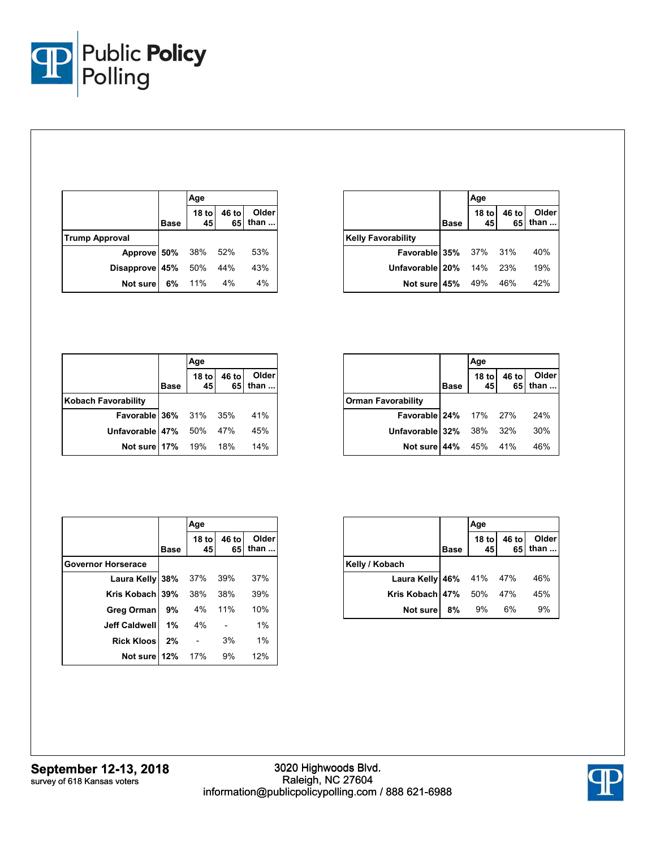

|                       |             | Age        |             |                        |
|-----------------------|-------------|------------|-------------|------------------------|
|                       | <b>Base</b> | 18 to $45$ | 46 to<br>65 | Older<br>than $\ldots$ |
| <b>Trump Approval</b> |             |            |             |                        |
| Approve 50% 38% 52%   |             |            |             | 53%                    |
| Disapprove 45% 50%    |             |            | - 44%       | 43%                    |
| Not sure              | 6%          | 11%        | 4%          | 4%                     |

|                              |             | Age        |             |                        |
|------------------------------|-------------|------------|-------------|------------------------|
|                              | <b>Base</b> | 18 to $45$ | 46 to<br>65 | Older<br>than $\ldots$ |
| <b>Kelly Favorability</b>    |             |            |             |                        |
| <b>Favorable 35%</b> 37% 31% |             |            |             | 40%                    |
| Unfavorable 20% 14% 23%      |             |            |             | 19%                    |
| Not sure   45% 49% 46%       |             |            |             | 42%                    |

|                              |             | Age         |             |               |
|------------------------------|-------------|-------------|-------------|---------------|
|                              | <b>Base</b> | 18 to<br>45 | 46 to<br>65 | Older<br>than |
| <b>Kobach Favorability</b>   |             |             |             |               |
| <b>Favorable 36%</b> 31% 35% |             |             |             | 41%           |
| Unfavorable 47%              |             | 50%         | 47%         | 45%           |
| Not sure 17% 19%             |             |             | 18%         | 14%           |

|                           |             | Age |                                          |  |
|---------------------------|-------------|-----|------------------------------------------|--|
|                           | <b>Base</b> |     | Older<br>18 to 46 to Older<br>45 65 than |  |
| <b>Orman Favorability</b> |             |     |                                          |  |
| Favorable 24% 17% 27% 24% |             |     |                                          |  |
| Unfavorable 32% 38% 32%   |             |     | 30%                                      |  |
| Not sure 44% 45% 41%      |             |     | 46%                                      |  |

|                           |             | Age           |             |                      |
|---------------------------|-------------|---------------|-------------|----------------------|
|                           | <b>Base</b> | $18$ to<br>45 | 46 to<br>65 | <b>Older</b><br>than |
| <b>Governor Horserace</b> |             |               |             |                      |
| Laura Kelly 38%           |             | 37%           | 39%         | 37%                  |
| Kris Kobach 39%           |             | 38%           | 38%         | 39%                  |
| Greg Orman                | 9%          | 4%            | 11%         | 10%                  |
| <b>Jeff Caldwell</b>      | 1%          | 4%            |             | 1%                   |
| <b>Rick Kloos</b>         | 2%          |               | 3%          | 1%                   |
| Not sure                  | 12%         | 17%           | 9%          | 12%                  |

|                                |             | Age        |    |                                 |  |
|--------------------------------|-------------|------------|----|---------------------------------|--|
|                                | <b>Base</b> | 18 to $45$ |    | Older<br>46 to Older<br>65 than |  |
| Kelly / Kobach                 |             |            |    |                                 |  |
| <b>Laura Kelly 46%</b> 41% 47% |             |            |    | 46%                             |  |
| <b>Kris Kobach 47%</b> 50% 47% |             |            |    | 45%                             |  |
| Not sure                       | 8%          | 9%         | 6% | 9%                              |  |